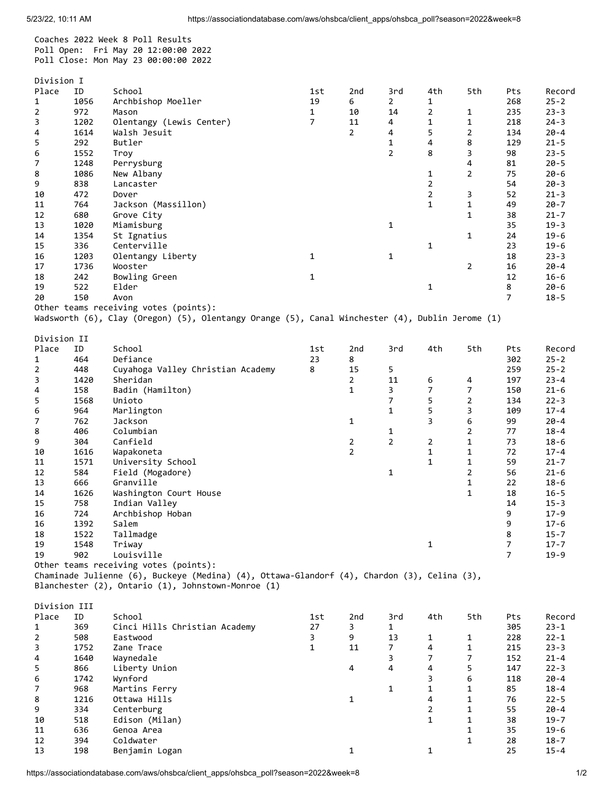Coaches 2022 Week 8 Poll Results Poll Open: Fri May 20 12:00:00 2022 Poll Close: Mon May 23 00:00:00 2022

|                | Division I |                                                                                                 |                |                |                |                |                |                |          |  |  |
|----------------|------------|-------------------------------------------------------------------------------------------------|----------------|----------------|----------------|----------------|----------------|----------------|----------|--|--|
| Place          | ID         | School                                                                                          | 1st            | 2nd            | 3rd            | 4th            | 5th            | Pts            | Record   |  |  |
| $\mathbf{1}$   | 1056       | Archbishop Moeller                                                                              | 19             | 6              | $\mathbf{2}$   | 1              |                | 268            | $25 - 2$ |  |  |
| $\overline{2}$ | 972        | Mason                                                                                           | $\mathbf{1}$   | 10             | 14             | $\overline{2}$ | $\mathbf{1}$   | 235            | $23 - 3$ |  |  |
| 3              | 1202       | Olentangy (Lewis Center)                                                                        | $\overline{7}$ | 11             | 4              | 1              | $\mathbf{1}$   | 218            | $24 - 3$ |  |  |
| 4              | 1614       | Walsh Jesuit                                                                                    |                | $\overline{2}$ | 4              | 5              | $\overline{2}$ | 134            | $20 - 4$ |  |  |
| 5              | 292        | Butler                                                                                          |                |                | $\mathbf{1}$   | 4              | 8              | 129            | $21 - 5$ |  |  |
| 6              | 1552       | Troy                                                                                            |                |                | $\overline{2}$ | 8              | 3              | 98             | $23 - 5$ |  |  |
| 7              | 1248       | Perrysburg                                                                                      |                |                |                |                | 4              | 81             | $20 - 5$ |  |  |
| 8              | 1086       | New Albany                                                                                      |                |                |                | 1              | $\overline{2}$ | 75             | $20 - 6$ |  |  |
| 9              | 838        | Lancaster                                                                                       |                |                |                | $\overline{2}$ |                | 54             | $20 - 3$ |  |  |
|                | 472        |                                                                                                 |                |                |                | 2              |                | 52             |          |  |  |
| 10             |            | Dover                                                                                           |                |                |                | $\mathbf{1}$   | 3              | 49             | $21 - 3$ |  |  |
| 11             | 764        | Jackson (Massillon)                                                                             |                |                |                |                | $\mathbf{1}$   |                | $20 - 7$ |  |  |
| 12             | 680        | Grove City                                                                                      |                |                |                |                | $\mathbf{1}$   | 38             | $21 - 7$ |  |  |
| 13             | 1020       | Miamisburg                                                                                      |                |                | 1              |                |                | 35             | $19 - 3$ |  |  |
| 14             | 1354       | St Ignatius                                                                                     |                |                |                |                | $\mathbf{1}$   | 24             | $19 - 6$ |  |  |
| 15             | 336        | Centerville                                                                                     |                |                |                | 1              |                | 23             | $19 - 6$ |  |  |
| 16             | 1203       | Olentangy Liberty                                                                               | $\mathbf{1}$   |                | 1              |                |                | 18             | $23 - 3$ |  |  |
| 17             | 1736       | Wooster                                                                                         |                |                |                |                | 2              | 16             | $20 - 4$ |  |  |
| 18             | 242        | Bowling Green                                                                                   | 1              |                |                |                |                | 12             | $16 - 6$ |  |  |
| 19             | 522        | Elder                                                                                           |                |                |                | 1              |                | 8              | $20 - 6$ |  |  |
| 20             | 150        | Avon                                                                                            |                |                |                |                |                | $\overline{7}$ | $18 - 5$ |  |  |
|                |            | Other teams receiving votes (points):                                                           |                |                |                |                |                |                |          |  |  |
|                |            | Wadsworth (6), Clay (Oregon) (5), Olentangy Orange (5), Canal Winchester (4), Dublin Jerome (1) |                |                |                |                |                |                |          |  |  |
|                |            |                                                                                                 |                |                |                |                |                |                |          |  |  |
| Division II    |            |                                                                                                 |                |                |                |                |                |                |          |  |  |
| Place          | ID         | School                                                                                          | 1st            | 2nd            | 3rd            | 4th            | 5th            | Pts            | Record   |  |  |
| $\mathbf{1}$   | 464        | Defiance                                                                                        | 23             | 8              |                |                |                | 302            | $25 - 2$ |  |  |
| 2              | 448        | Cuyahoga Valley Christian Academy                                                               | 8              | 15             | 5              |                |                | 259            | $25 - 2$ |  |  |
| 3              | 1420       | Sheridan                                                                                        |                | $\overline{2}$ | 11             | 6              | 4              | 197            | $23 - 4$ |  |  |
| 4              | 158        | Badin (Hamilton)                                                                                |                | $\mathbf{1}$   | 3              | 7              | $\overline{7}$ | 150            | $21 - 6$ |  |  |
|                |            |                                                                                                 |                |                | $\overline{7}$ |                |                | 134            |          |  |  |
| 5              | 1568       | Unioto                                                                                          |                |                |                | 5              | $\overline{2}$ |                | $22 - 3$ |  |  |
| 6              | 964        | Marlington                                                                                      |                |                | $\mathbf{1}$   | 5              | 3              | 109            | $17 - 4$ |  |  |
| 7              | 762        | Jackson                                                                                         |                | $\mathbf{1}$   |                | 3              | 6              | 99             | $20 - 4$ |  |  |
| 8              | 406        | Columbian                                                                                       |                |                | 1              |                | $\overline{2}$ | 77             | $18 - 4$ |  |  |
| 9              | 304        | Canfield                                                                                        |                | $\overline{a}$ | $\overline{2}$ | $\overline{2}$ | $\mathbf{1}$   | 73             | $18 - 6$ |  |  |
| 10             | 1616       | Wapakoneta                                                                                      |                | $\overline{2}$ |                | $\mathbf{1}$   | 1              | 72             | $17 - 4$ |  |  |
| 11             | 1571       | University School                                                                               |                |                |                | $\mathbf{1}$   | $\mathbf{1}$   | 59             | $21 - 7$ |  |  |
| 12             | 584        | Field (Mogadore)                                                                                |                |                | 1              |                | $\overline{2}$ | 56             | $21 - 6$ |  |  |
| 13             | 666        | Granville                                                                                       |                |                |                |                | 1              | 22             | $18 - 6$ |  |  |
| 14             | 1626       | Washington Court House                                                                          |                |                |                |                | $\mathbf{1}$   | 18             | $16 - 5$ |  |  |
| 15             | 758        | Indian Valley                                                                                   |                |                |                |                |                | 14             | $15 - 3$ |  |  |
| 16             | 724        | Archbishop Hoban                                                                                |                |                |                |                |                | 9              | $17 - 9$ |  |  |
| 16             | 1392       | Salem                                                                                           |                |                |                |                |                | q              | $17 - 6$ |  |  |
| 18             | 1522       | Tallmadge                                                                                       |                |                |                |                |                | 8              | $15 - 7$ |  |  |
| 19             | 1548       | Triway                                                                                          |                |                |                | 1              |                | $\overline{7}$ | $17 - 7$ |  |  |
| 19             | 902        | Louisville                                                                                      |                |                |                |                |                | $\overline{7}$ | $19 - 9$ |  |  |
|                |            | Other teams receiving votes (points):                                                           |                |                |                |                |                |                |          |  |  |
|                |            | Chaminade Julienne (6), Buckeye (Medina) (4), Ottawa-Glandorf (4), Chardon (3), Celina (3),     |                |                |                |                |                |                |          |  |  |
|                |            | Blanchester (2), Ontario (1), Johnstown-Monroe (1)                                              |                |                |                |                |                |                |          |  |  |
|                |            |                                                                                                 |                |                |                |                |                |                |          |  |  |
| Division III   |            |                                                                                                 |                |                |                |                |                |                |          |  |  |
|                |            |                                                                                                 |                |                |                |                |                |                |          |  |  |
| Place          | ID         | School                                                                                          | 1st            | 2nd            | 3rd            | 4th            | 5th            | Pts            | Record   |  |  |
| $\mathbf{1}$   | 369        | Cinci Hills Christian Academy                                                                   | 27             | 3              | 1              |                |                | 305            | $23 - 1$ |  |  |
| 2              | 508        | Eastwood                                                                                        | 3              | 9              | 13             | 1              | $\mathbf{1}$   | 228            | $22 - 1$ |  |  |
| 3              | 1752       | Zane Trace                                                                                      | 1              | 11             | $\overline{7}$ | 4              | $\mathbf{1}$   | 215            | $23 - 3$ |  |  |
| 4              | 1640       | Waynedale                                                                                       |                |                | 3              | 7              | $\overline{7}$ | 152            | $21 - 4$ |  |  |
| 5              | 866        | Liberty Union                                                                                   |                | 4              | 4              | 4              | 5              | 147            | $22 - 3$ |  |  |
| 6              | 1742       | Wynford                                                                                         |                |                |                | 3              | 6              | 118            | $20 - 4$ |  |  |
| 7              | 968        | Martins Ferry                                                                                   |                |                | $\mathbf{1}$   | $\mathbf{1}$   | $\mathbf{1}$   | 85             | $18 - 4$ |  |  |
| 8              | 1216       | Ottawa Hills                                                                                    |                | 1              |                | 4              | $\mathbf{1}$   | 76             | $22 - 5$ |  |  |
| 9              | 334        | Centerburg                                                                                      |                |                |                | 2              | 1              | 55             | $20 - 4$ |  |  |
| 10             | 518        | Edison (Milan)                                                                                  |                |                |                | 1              | $\mathbf{1}$   | 38             | $19 - 7$ |  |  |
| 11             | 636        | Genoa Area                                                                                      |                |                |                |                | $\mathbf{1}$   | 35             | $19 - 6$ |  |  |
| 12             | 394        | Coldwater                                                                                       |                |                |                |                | $\mathbf{1}$   | 28             | $18 - 7$ |  |  |
| 13             | 198        | Benjamin Logan                                                                                  |                | $\mathbf{1}$   |                | 1              |                | 25             | $15 - 4$ |  |  |
|                |            |                                                                                                 |                |                |                |                |                |                |          |  |  |
|                |            |                                                                                                 |                |                |                |                |                |                |          |  |  |

https://associationdatabase.com/aws/ohsbca/client\_apps/ohsbca\_poll?season=2022&week=8 1/2